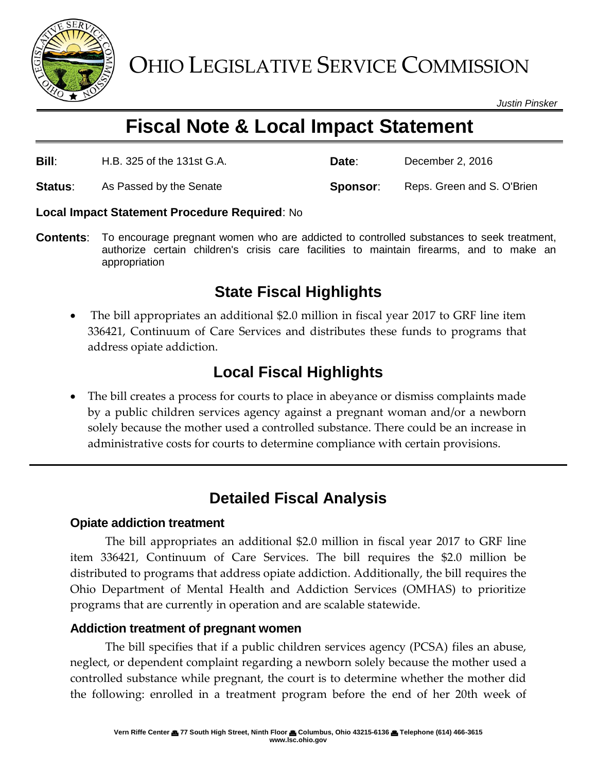

*Justin Pinsker*

# **Fiscal Note & Local Impact Statement**

| <b>Bill:</b> | H.B. 325 of the 131st G.A. | Date:    | December 2, 2016           |
|--------------|----------------------------|----------|----------------------------|
| Status:      | As Passed by the Senate    | Sponsor: | Reps. Green and S. O'Brien |

#### **Local Impact Statement Procedure Required**: No

**Contents**: To encourage pregnant women who are addicted to controlled substances to seek treatment, authorize certain children's crisis care facilities to maintain firearms, and to make an appropriation

### **State Fiscal Highlights**

 The bill appropriates an additional \$2.0 million in fiscal year 2017 to GRF line item 336421, Continuum of Care Services and distributes these funds to programs that address opiate addiction.

## **Local Fiscal Highlights**

 The bill creates a process for courts to place in abeyance or dismiss complaints made by a public children services agency against a pregnant woman and/or a newborn solely because the mother used a controlled substance. There could be an increase in administrative costs for courts to determine compliance with certain provisions.

## **Detailed Fiscal Analysis**

### **Opiate addiction treatment**

The bill appropriates an additional \$2.0 million in fiscal year 2017 to GRF line item 336421, Continuum of Care Services. The bill requires the \$2.0 million be distributed to programs that address opiate addiction. Additionally, the bill requires the Ohio Department of Mental Health and Addiction Services (OMHAS) to prioritize programs that are currently in operation and are scalable statewide.

### **Addiction treatment of pregnant women**

The bill specifies that if a public children services agency (PCSA) files an abuse, neglect, or dependent complaint regarding a newborn solely because the mother used a controlled substance while pregnant, the court is to determine whether the mother did the following: enrolled in a treatment program before the end of her 20th week of